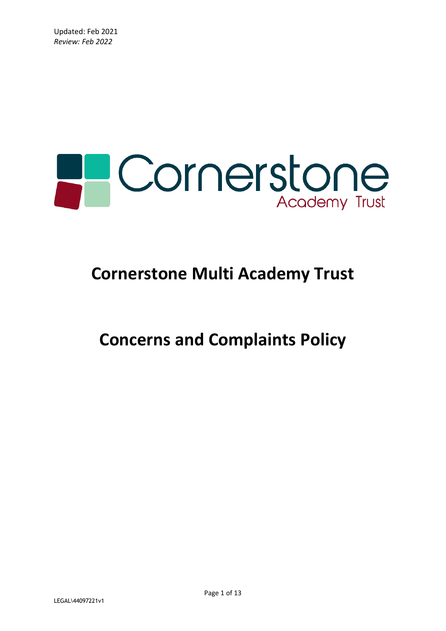

# **Cornerstone Multi Academy Trust**

**Concerns and Complaints Policy**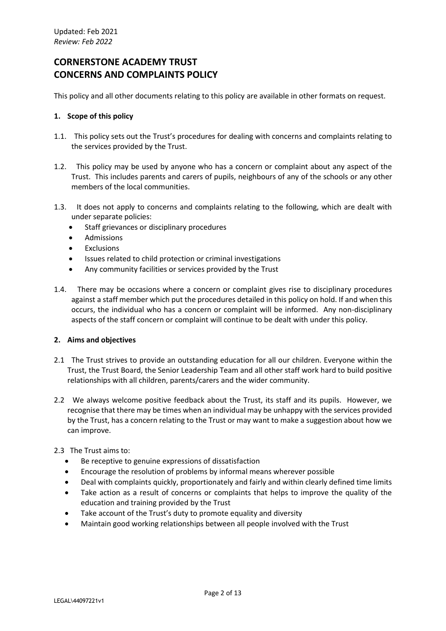# **CORNERSTONE ACADEMY TRUST CONCERNS AND COMPLAINTS POLICY**

This policy and all other documents relating to this policy are available in other formats on request.

# **1. Scope of this policy**

- 1.1. This policy sets out the Trust's procedures for dealing with concerns and complaints relating to the services provided by the Trust.
- 1.2. This policy may be used by anyone who has a concern or complaint about any aspect of the Trust. This includes parents and carers of pupils, neighbours of any of the schools or any other members of the local communities.
- 1.3. It does not apply to concerns and complaints relating to the following, which are dealt with under separate policies:
	- Staff grievances or disciplinary procedures
	- **Admissions**
	- **Exclusions**
	- Issues related to child protection or criminal investigations
	- Any community facilities or services provided by the Trust
- 1.4. There may be occasions where a concern or complaint gives rise to disciplinary procedures against a staff member which put the procedures detailed in this policy on hold. If and when this occurs, the individual who has a concern or complaint will be informed. Any non-disciplinary aspects of the staff concern or complaint will continue to be dealt with under this policy.

# **2. Aims and objectives**

- 2.1 The Trust strives to provide an outstanding education for all our children. Everyone within the Trust, the Trust Board, the Senior Leadership Team and all other staff work hard to build positive relationships with all children, parents/carers and the wider community.
- 2.2 We always welcome positive feedback about the Trust, its staff and its pupils. However, we recognise that there may be times when an individual may be unhappy with the services provided by the Trust, has a concern relating to the Trust or may want to make a suggestion about how we can improve.

# 2.3 The Trust aims to:

- Be receptive to genuine expressions of dissatisfaction
- Encourage the resolution of problems by informal means wherever possible
- Deal with complaints quickly, proportionately and fairly and within clearly defined time limits
- Take action as a result of concerns or complaints that helps to improve the quality of the education and training provided by the Trust
- Take account of the Trust's duty to promote equality and diversity
- Maintain good working relationships between all people involved with the Trust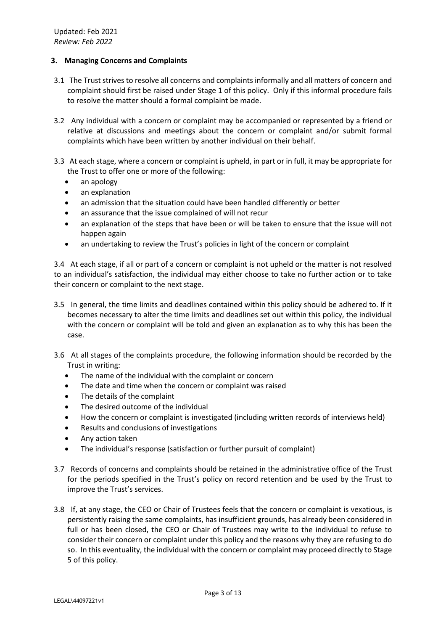# **3. Managing Concerns and Complaints**

- 3.1 The Trust strives to resolve all concerns and complaints informally and all matters of concern and complaint should first be raised under Stage 1 of this policy. Only if this informal procedure fails to resolve the matter should a formal complaint be made.
- 3.2 Any individual with a concern or complaint may be accompanied or represented by a friend or relative at discussions and meetings about the concern or complaint and/or submit formal complaints which have been written by another individual on their behalf.
- 3.3 At each stage, where a concern or complaint is upheld, in part or in full, it may be appropriate for the Trust to offer one or more of the following:
	- an apology
	- an explanation
	- an admission that the situation could have been handled differently or better
	- an assurance that the issue complained of will not recur
	- an explanation of the steps that have been or will be taken to ensure that the issue will not happen again
	- an undertaking to review the Trust's policies in light of the concern or complaint

3.4 At each stage, if all or part of a concern or complaint is not upheld or the matter is not resolved to an individual's satisfaction, the individual may either choose to take no further action or to take their concern or complaint to the next stage.

- 3.5 In general, the time limits and deadlines contained within this policy should be adhered to. If it becomes necessary to alter the time limits and deadlines set out within this policy, the individual with the concern or complaint will be told and given an explanation as to why this has been the case.
- 3.6 At all stages of the complaints procedure, the following information should be recorded by the Trust in writing:
	- The name of the individual with the complaint or concern
	- The date and time when the concern or complaint was raised
	- The details of the complaint
	- The desired outcome of the individual
	- How the concern or complaint is investigated (including written records of interviews held)
	- Results and conclusions of investigations
	- Any action taken
	- The individual's response (satisfaction or further pursuit of complaint)
- 3.7 Records of concerns and complaints should be retained in the administrative office of the Trust for the periods specified in the Trust's policy on record retention and be used by the Trust to improve the Trust's services.
- 3.8 If, at any stage, the CEO or Chair of Trustees feels that the concern or complaint is vexatious, is persistently raising the same complaints, has insufficient grounds, has already been considered in full or has been closed, the CEO or Chair of Trustees may write to the individual to refuse to consider their concern or complaint under this policy and the reasons why they are refusing to do so. In this eventuality, the individual with the concern or complaint may proceed directly to Stage 5 of this policy.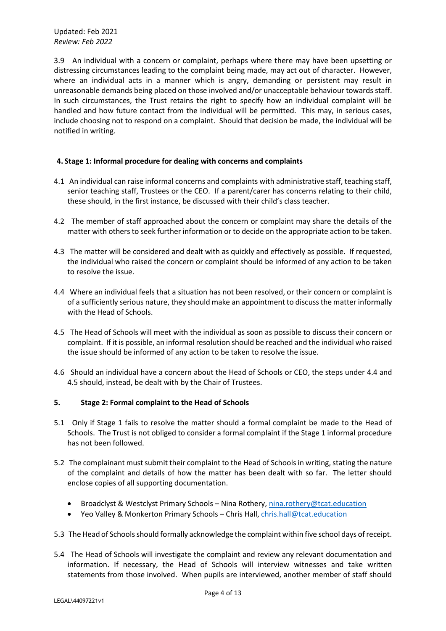3.9 An individual with a concern or complaint, perhaps where there may have been upsetting or distressing circumstances leading to the complaint being made, may act out of character. However, where an individual acts in a manner which is angry, demanding or persistent may result in unreasonable demands being placed on those involved and/or unacceptable behaviour towards staff. In such circumstances, the Trust retains the right to specify how an individual complaint will be handled and how future contact from the individual will be permitted. This may, in serious cases, include choosing not to respond on a complaint. Should that decision be made, the individual will be notified in writing.

# **4. Stage 1: Informal procedure for dealing with concerns and complaints**

- 4.1 An individual can raise informal concerns and complaints with administrative staff, teaching staff, senior teaching staff, Trustees or the CEO. If a parent/carer has concerns relating to their child, these should, in the first instance, be discussed with their child's class teacher.
- 4.2 The member of staff approached about the concern or complaint may share the details of the matter with others to seek further information or to decide on the appropriate action to be taken.
- 4.3 The matter will be considered and dealt with as quickly and effectively as possible. If requested, the individual who raised the concern or complaint should be informed of any action to be taken to resolve the issue.
- 4.4 Where an individual feels that a situation has not been resolved, or their concern or complaint is of a sufficiently serious nature, they should make an appointment to discuss the matter informally with the Head of Schools.
- 4.5 The Head of Schools will meet with the individual as soon as possible to discuss their concern or complaint. If it is possible, an informal resolution should be reached and the individual who raised the issue should be informed of any action to be taken to resolve the issue.
- 4.6 Should an individual have a concern about the Head of Schools or CEO, the steps under 4.4 and 4.5 should, instead, be dealt with by the Chair of Trustees.

# **5. Stage 2: Formal complaint to the Head of Schools**

- 5.1 Only if Stage 1 fails to resolve the matter should a formal complaint be made to the Head of Schools. The Trust is not obliged to consider a formal complaint if the Stage 1 informal procedure has not been followed.
- 5.2 The complainant must submit their complaint to the Head of Schoolsin writing, stating the nature of the complaint and details of how the matter has been dealt with so far. The letter should enclose copies of all supporting documentation.
	- Broadclyst & Westclyst Primary Schools Nina Rothery, [nina.rothery@tcat.education](mailto:nina.rothery@tcat.education)
	- Yeo Valley & Monkerton Primary Schools Chris Hall[, chris.hall@tcat.education](mailto:chris.hall@tcat.education)
- 5.3 The Head of Schoolsshould formally acknowledge the complaint within five school days of receipt.
- 5.4 The Head of Schools will investigate the complaint and review any relevant documentation and information. If necessary, the Head of Schools will interview witnesses and take written statements from those involved. When pupils are interviewed, another member of staff should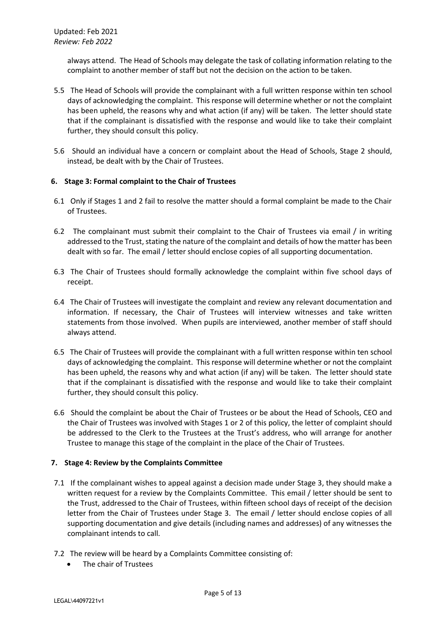always attend. The Head of Schools may delegate the task of collating information relating to the complaint to another member of staff but not the decision on the action to be taken.

- 5.5 The Head of Schools will provide the complainant with a full written response within ten school days of acknowledging the complaint. This response will determine whether or not the complaint has been upheld, the reasons why and what action (if any) will be taken. The letter should state that if the complainant is dissatisfied with the response and would like to take their complaint further, they should consult this policy.
- 5.6 Should an individual have a concern or complaint about the Head of Schools, Stage 2 should, instead, be dealt with by the Chair of Trustees.

# **6. Stage 3: Formal complaint to the Chair of Trustees**

- 6.1 Only if Stages 1 and 2 fail to resolve the matter should a formal complaint be made to the Chair of Trustees.
- 6.2 The complainant must submit their complaint to the Chair of Trustees via email / in writing addressed to the Trust, stating the nature of the complaint and details of how the matter has been dealt with so far. The email / letter should enclose copies of all supporting documentation.
- 6.3 The Chair of Trustees should formally acknowledge the complaint within five school days of receipt.
- 6.4 The Chair of Trustees will investigate the complaint and review any relevant documentation and information. If necessary, the Chair of Trustees will interview witnesses and take written statements from those involved. When pupils are interviewed, another member of staff should always attend.
- 6.5 The Chair of Trustees will provide the complainant with a full written response within ten school days of acknowledging the complaint. This response will determine whether or not the complaint has been upheld, the reasons why and what action (if any) will be taken. The letter should state that if the complainant is dissatisfied with the response and would like to take their complaint further, they should consult this policy.
- 6.6 Should the complaint be about the Chair of Trustees or be about the Head of Schools, CEO and the Chair of Trustees was involved with Stages 1 or 2 of this policy, the letter of complaint should be addressed to the Clerk to the Trustees at the Trust's address, who will arrange for another Trustee to manage this stage of the complaint in the place of the Chair of Trustees.

# **7. Stage 4: Review by the Complaints Committee**

- 7.1 If the complainant wishes to appeal against a decision made under Stage 3, they should make a written request for a review by the Complaints Committee. This email / letter should be sent to the Trust, addressed to the Chair of Trustees, within fifteen school days of receipt of the decision letter from the Chair of Trustees under Stage 3. The email / letter should enclose copies of all supporting documentation and give details (including names and addresses) of any witnesses the complainant intends to call.
- 7.2 The review will be heard by a Complaints Committee consisting of:
	- The chair of Trustees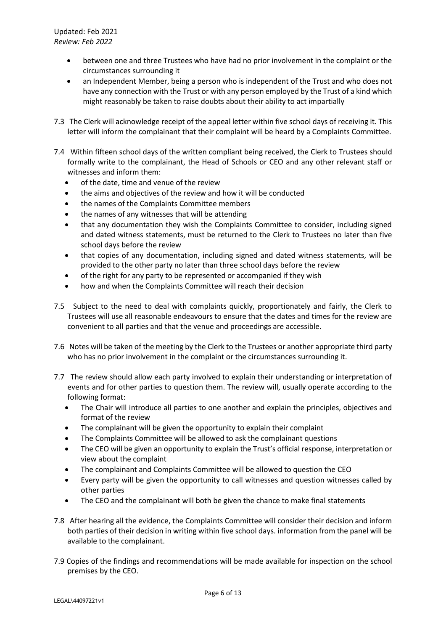- between one and three Trustees who have had no prior involvement in the complaint or the circumstances surrounding it
- an Independent Member, being a person who is independent of the Trust and who does not have any connection with the Trust or with any person employed by the Trust of a kind which might reasonably be taken to raise doubts about their ability to act impartially
- 7.3 The Clerk will acknowledge receipt of the appeal letter within five school days of receiving it. This letter will inform the complainant that their complaint will be heard by a Complaints Committee.
- 7.4 Within fifteen school days of the written compliant being received, the Clerk to Trustees should formally write to the complainant, the Head of Schools or CEO and any other relevant staff or witnesses and inform them:
	- of the date, time and venue of the review
	- the aims and objectives of the review and how it will be conducted
	- the names of the Complaints Committee members
	- the names of any witnesses that will be attending
	- that any documentation they wish the Complaints Committee to consider, including signed and dated witness statements, must be returned to the Clerk to Trustees no later than five school days before the review
	- that copies of any documentation, including signed and dated witness statements, will be provided to the other party no later than three school days before the review
	- of the right for any party to be represented or accompanied if they wish
	- how and when the Complaints Committee will reach their decision
- 7.5 Subject to the need to deal with complaints quickly, proportionately and fairly, the Clerk to Trustees will use all reasonable endeavours to ensure that the dates and times for the review are convenient to all parties and that the venue and proceedings are accessible.
- 7.6 Notes will be taken of the meeting by the Clerk to the Trustees or another appropriate third party who has no prior involvement in the complaint or the circumstances surrounding it.
- 7.7 The review should allow each party involved to explain their understanding or interpretation of events and for other parties to question them. The review will, usually operate according to the following format:
	- The Chair will introduce all parties to one another and explain the principles, objectives and format of the review
	- The complainant will be given the opportunity to explain their complaint
	- The Complaints Committee will be allowed to ask the complainant questions
	- The CEO will be given an opportunity to explain the Trust's official response, interpretation or view about the complaint
	- The complainant and Complaints Committee will be allowed to question the CEO
	- Every party will be given the opportunity to call witnesses and question witnesses called by other parties
	- The CEO and the complainant will both be given the chance to make final statements
- 7.8 After hearing all the evidence, the Complaints Committee will consider their decision and inform both parties of their decision in writing within five school days. information from the panel will be available to the complainant.
- 7.9 Copies of the findings and recommendations will be made available for inspection on the school premises by the CEO.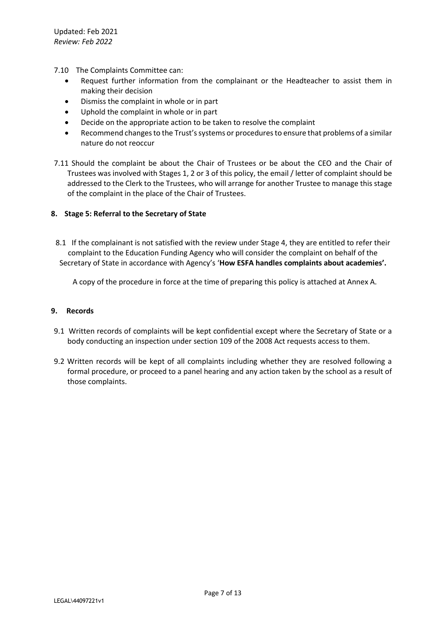- 7.10 The Complaints Committee can:
	- Request further information from the complainant or the Headteacher to assist them in making their decision
	- Dismiss the complaint in whole or in part
	- Uphold the complaint in whole or in part
	- Decide on the appropriate action to be taken to resolve the complaint
	- Recommend changes to the Trust's systems or procedures to ensure that problems of a similar nature do not reoccur
- 7.11 Should the complaint be about the Chair of Trustees or be about the CEO and the Chair of Trustees was involved with Stages 1, 2 or 3 of this policy, the email / letter of complaint should be addressed to the Clerk to the Trustees, who will arrange for another Trustee to manage this stage of the complaint in the place of the Chair of Trustees.

# **8. Stage 5: Referral to the Secretary of State**

8.1 If the complainant is not satisfied with the review under Stage 4, they are entitled to refer their complaint to the Education Funding Agency who will consider the complaint on behalf of the Secretary of State in accordance with Agency's '**How ESFA handles complaints about academies'.**

A copy of the procedure in force at the time of preparing this policy is attached at Annex A.

# **9. Records**

- 9.1 Written records of complaints will be kept confidential except where the Secretary of State or a body conducting an inspection under section 109 of the 2008 Act requests access to them.
- 9.2 Written records will be kept of all complaints including whether they are resolved following a formal procedure, or proceed to a panel hearing and any action taken by the school as a result of those complaints.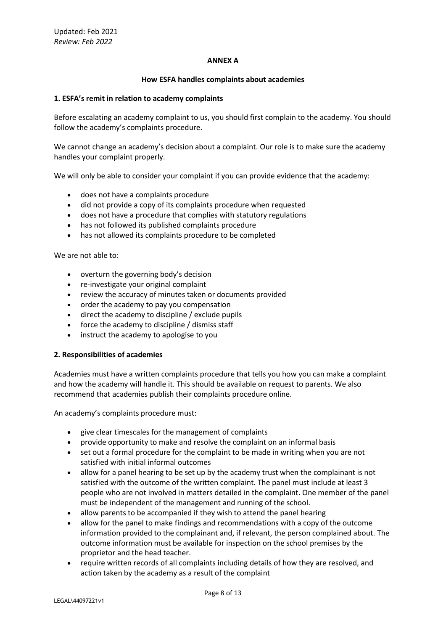#### **ANNEX A**

#### **How ESFA handles complaints about academies**

#### **1. ESFA's remit in relation to academy complaints**

Before escalating an academy complaint to us, you should first complain to the academy. You should follow the academy's complaints procedure.

We cannot change an academy's decision about a complaint. Our role is to make sure the academy handles your complaint properly.

We will only be able to consider your complaint if you can provide evidence that the academy:

- does not have a complaints procedure
- did not provide a copy of its complaints procedure when requested
- does not have a procedure that complies with statutory regulations
- has not followed its published complaints procedure
- has not allowed its complaints procedure to be completed

We are not able to:

- overturn the governing body's decision
- re-investigate your original complaint
- review the accuracy of minutes taken or documents provided
- order the academy to pay you compensation
- direct the academy to discipline / exclude pupils
- force the academy to discipline / dismiss staff
- instruct the academy to apologise to you

#### **2. Responsibilities of academies**

Academies must have a written complaints procedure that tells you how you can make a complaint and how the academy will handle it. This should be available on request to parents. We also recommend that academies publish their complaints procedure online.

An academy's complaints procedure must:

- give clear timescales for the management of complaints
- provide opportunity to make and resolve the complaint on an informal basis
- set out a formal procedure for the complaint to be made in writing when you are not satisfied with initial informal outcomes
- allow for a panel hearing to be set up by the academy trust when the complainant is not satisfied with the outcome of the written complaint. The panel must include at least 3 people who are not involved in matters detailed in the complaint. One member of the panel must be independent of the management and running of the school.
- allow parents to be accompanied if they wish to attend the panel hearing
- allow for the panel to make findings and recommendations with a copy of the outcome information provided to the complainant and, if relevant, the person complained about. The outcome information must be available for inspection on the school premises by the proprietor and the head teacher.
- require written records of all complaints including details of how they are resolved, and action taken by the academy as a result of the complaint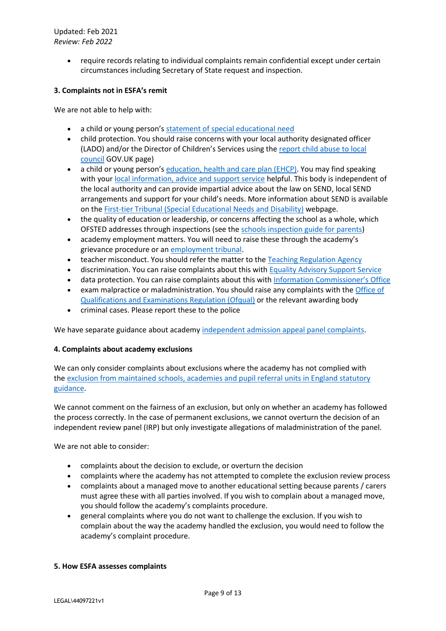> • require records relating to individual complaints remain confidential except under certain circumstances including Secretary of State request and inspection.

# **3. Complaints not in ESFA's remit**

We are not able to help with:

- a child or young person's [statement of special educational need](https://www.gov.uk/courts-tribunals/first-tier-tribunal-special-educational-needs-and-disability)
- child protection. You should raise concerns with your local authority designated officer (LADO) and/or the Director of Children's Services using the [report child abuse to local](https://www.gov.uk/report-child-abuse-to-local-council)  [council](https://www.gov.uk/report-child-abuse-to-local-council) GOV.UK page)
- a child or young person's [education, health and care plan \(EHCP\).](https://www.gov.uk/children-with-special-educational-needs/extra-SEN-help) You may find speaking with your [local information, advice and support service](http://www.iassnetwork.org.uk/) helpful. This body is independent of the local authority and can provide impartial advice about the law on SEND, local SEND arrangements and support for your child's needs. More information about SEND is available on the [First-tier Tribunal \(Special Educational Needs and Disability\)](https://www.gov.uk/courts-tribunals/first-tier-tribunal-special-educational-needs-and-disability) webpage.
- the quality of education or leadership, or concerns affecting the school as a whole, which OFSTED addresses through inspections (see the [schools inspection guide for parents\)](https://www.gov.uk/government/publications/school-inspections-a-guide-for-parents)
- academy employment matters. You will need to raise these through the academy's grievance procedure or an [employment tribunal.](https://www.gov.uk/employment-tribunals)
- teacher misconduct. You should refer the matter to the [Teaching Regulation Agency](https://www.gov.uk/government/organisations/teaching-regulation-agency)
- discrimination. You can raise complaints about this with [Equality Advisory Support Service](http://www.equalityadvisoryservice.com/)
- data protection. You can raise complaints about this with [Information Commissioner's Office](https://ico.org.uk/)
- exam malpractice or maladministration. You should raise any complaints with the [Office of](https://www.gov.uk/government/organisations/ofqual)  [Qualifications and Examinations Regulation \(Ofqual\)](https://www.gov.uk/government/organisations/ofqual) or the relevant awarding body
- criminal cases. Please report these to the police

We have separate guidance about academy [independent admission appeal panel complaints.](https://www.gov.uk/government/publications/academy-independent-admission-appeal-panel-complaints)

# **4. Complaints about academy exclusions**

We can only consider complaints about exclusions where the academy has not complied with the [exclusion from maintained schools, academies and pupil referral units in England statutory](https://www.gov.uk/government/publications/complain-about-an-academy/complain-about-an-academy#exclusions%20guidance)  [guidance.](https://www.gov.uk/government/publications/complain-about-an-academy/complain-about-an-academy#exclusions%20guidance)

We cannot comment on the fairness of an exclusion, but only on whether an academy has followed the process correctly. In the case of permanent exclusions, we cannot overturn the decision of an independent review panel (IRP) but only investigate allegations of maladministration of the panel.

We are not able to consider:

- complaints about the decision to exclude, or overturn the decision
- complaints where the academy has not attempted to complete the exclusion review process
- complaints about a managed move to another educational setting because parents / carers must agree these with all parties involved. If you wish to complain about a managed move, you should follow the academy's complaints procedure.
- general complaints where you do not want to challenge the exclusion. If you wish to complain about the way the academy handled the exclusion, you would need to follow the academy's complaint procedure.

# **5. How ESFA assesses complaints**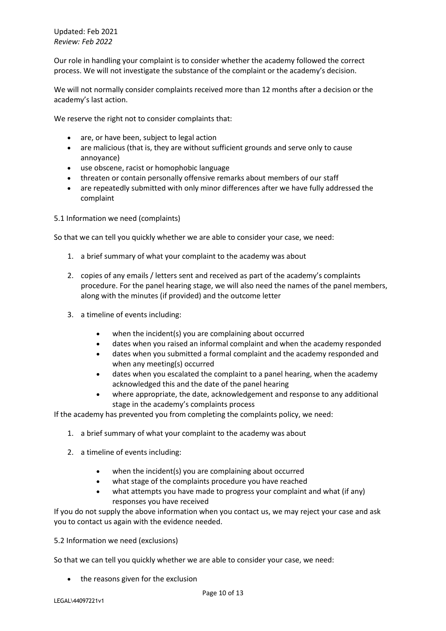Our role in handling your complaint is to consider whether the academy followed the correct process. We will not investigate the substance of the complaint or the academy's decision.

We will not normally consider complaints received more than 12 months after a decision or the academy's last action.

We reserve the right not to consider complaints that:

- are, or have been, subject to legal action
- are malicious (that is, they are without sufficient grounds and serve only to cause annoyance)
- use obscene, racist or homophobic language
- threaten or contain personally offensive remarks about members of our staff
- are repeatedly submitted with only minor differences after we have fully addressed the complaint

5.1 Information we need (complaints)

So that we can tell you quickly whether we are able to consider your case, we need:

- 1. a brief summary of what your complaint to the academy was about
- 2. copies of any emails / letters sent and received as part of the academy's complaints procedure. For the panel hearing stage, we will also need the names of the panel members, along with the minutes (if provided) and the outcome letter
- 3. a timeline of events including:
	- when the incident(s) you are complaining about occurred
	- dates when you raised an informal complaint and when the academy responded
	- dates when you submitted a formal complaint and the academy responded and when any meeting(s) occurred
	- dates when you escalated the complaint to a panel hearing, when the academy acknowledged this and the date of the panel hearing
	- where appropriate, the date, acknowledgement and response to any additional stage in the academy's complaints process

If the academy has prevented you from completing the complaints policy, we need:

- 1. a brief summary of what your complaint to the academy was about
- 2. a timeline of events including:
	- when the incident(s) you are complaining about occurred
	- what stage of the complaints procedure you have reached
	- what attempts you have made to progress your complaint and what (if any) responses you have received

If you do not supply the above information when you contact us, we may reject your case and ask you to contact us again with the evidence needed.

5.2 Information we need (exclusions)

So that we can tell you quickly whether we are able to consider your case, we need:

• the reasons given for the exclusion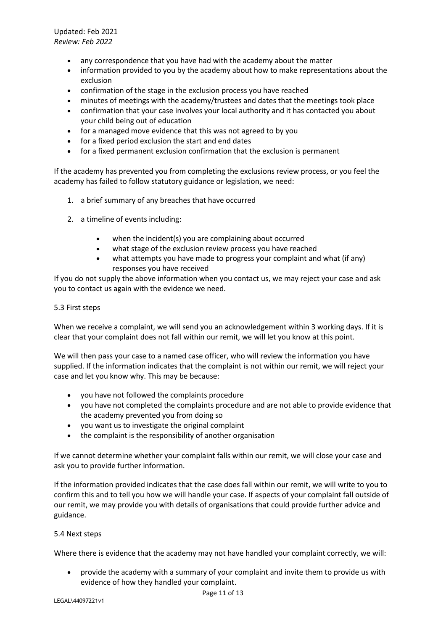- any correspondence that you have had with the academy about the matter
- information provided to you by the academy about how to make representations about the exclusion
- confirmation of the stage in the exclusion process you have reached
- minutes of meetings with the academy/trustees and dates that the meetings took place
- confirmation that your case involves your local authority and it has contacted you about your child being out of education
- for a managed move evidence that this was not agreed to by you
- for a fixed period exclusion the start and end dates
- for a fixed permanent exclusion confirmation that the exclusion is permanent

If the academy has prevented you from completing the exclusions review process, or you feel the academy has failed to follow statutory guidance or legislation, we need:

- 1. a brief summary of any breaches that have occurred
- 2. a timeline of events including:
	- when the incident(s) you are complaining about occurred
	- what stage of the exclusion review process you have reached
	- what attempts you have made to progress your complaint and what (if any) responses you have received

If you do not supply the above information when you contact us, we may reject your case and ask you to contact us again with the evidence we need.

# 5.3 First steps

When we receive a complaint, we will send you an acknowledgement within 3 working days. If it is clear that your complaint does not fall within our remit, we will let you know at this point.

We will then pass your case to a named case officer, who will review the information you have supplied. If the information indicates that the complaint is not within our remit, we will reject your case and let you know why. This may be because:

- you have not followed the complaints procedure
- you have not completed the complaints procedure and are not able to provide evidence that the academy prevented you from doing so
- you want us to investigate the original complaint
- the complaint is the responsibility of another organisation

If we cannot determine whether your complaint falls within our remit, we will close your case and ask you to provide further information.

If the information provided indicates that the case does fall within our remit, we will write to you to confirm this and to tell you how we will handle your case. If aspects of your complaint fall outside of our remit, we may provide you with details of organisations that could provide further advice and guidance.

# 5.4 Next steps

Where there is evidence that the academy may not have handled your complaint correctly, we will:

• provide the academy with a summary of your complaint and invite them to provide us with evidence of how they handled your complaint.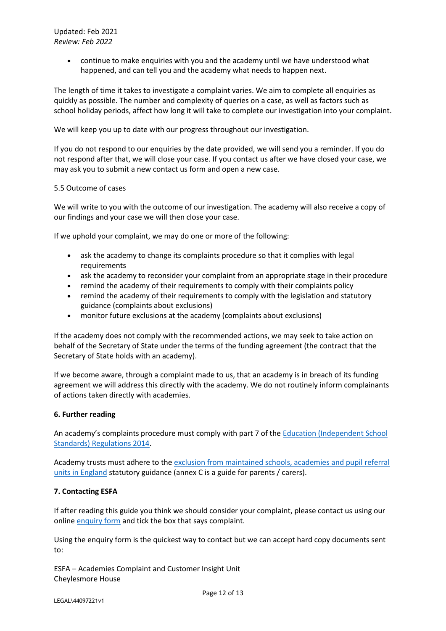• continue to make enquiries with you and the academy until we have understood what happened, and can tell you and the academy what needs to happen next.

The length of time it takes to investigate a complaint varies. We aim to complete all enquiries as quickly as possible. The number and complexity of queries on a case, as well as factors such as school holiday periods, affect how long it will take to complete our investigation into your complaint.

We will keep you up to date with our progress throughout our investigation.

If you do not respond to our enquiries by the date provided, we will send you a reminder. If you do not respond after that, we will close your case. If you contact us after we have closed your case, we may ask you to submit a new contact us form and open a new case.

# 5.5 Outcome of cases

We will write to you with the outcome of our investigation. The academy will also receive a copy of our findings and your case we will then close your case.

If we uphold your complaint, we may do one or more of the following:

- ask the academy to change its complaints procedure so that it complies with legal requirements
- ask the academy to reconsider your complaint from an appropriate stage in their procedure
- remind the academy of their requirements to comply with their complaints policy
- remind the academy of their requirements to comply with the legislation and statutory guidance (complaints about exclusions)
- monitor future exclusions at the academy (complaints about exclusions)

If the academy does not comply with the recommended actions, we may seek to take action on behalf of the Secretary of State under the terms of the funding agreement (the contract that the Secretary of State holds with an academy).

If we become aware, through a complaint made to us, that an academy is in breach of its funding agreement we will address this directly with the academy. We do not routinely inform complainants of actions taken directly with academies.

# **6. Further reading**

An academy's complaints procedure must comply with part 7 of the [Education \(Independent School](http://www.legislation.gov.uk/uksi/2014/3283/schedule/made)  [Standards\) Regulations 2014.](http://www.legislation.gov.uk/uksi/2014/3283/schedule/made)

Academy trusts must adhere to the exclusion from maintained schools, academies and pupil referral [units in England](https://www.gov.uk/government/publications/school-exclusion) statutory guidance (annex C is a guide for parents / carers).

# **7. Contacting ESFA**

If after reading this guide you think we should consider your complaint, please contact us using our online [enquiry form](https://form.education.gov.uk/service/Contact_the_Department_for_Education) and tick the box that says complaint.

Using the enquiry form is the quickest way to contact but we can accept hard copy documents sent to:

ESFA – Academies Complaint and Customer Insight Unit Cheylesmore House